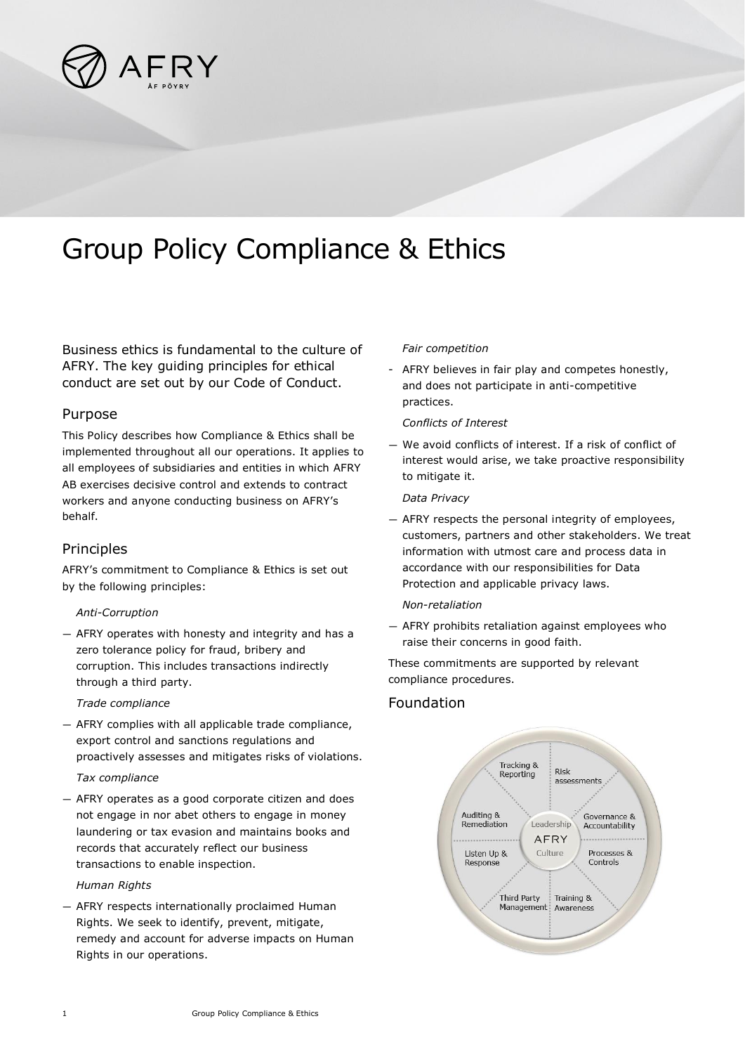

# Group Policy Compliance & Ethics

Business ethics is fundamental to the culture of AFRY. The key guiding principles for ethical conduct are set out by our Code of Conduct.

# Purpose

This Policy describes how Compliance & Ethics shall be implemented throughout all our operations. It applies to all employees of subsidiaries and entities in which AFRY AB exercises decisive control and extends to contract workers and anyone conducting business on AFRY's behalf.

# Principles

AFRY's commitment to Compliance & Ethics is set out by the following principles:

## *Anti-Corruption*

— AFRY operates with honesty and integrity and has a zero tolerance policy for fraud, bribery and corruption. This includes transactions indirectly through a third party.

*Trade compliance*

— AFRY complies with all applicable trade compliance, export control and sanctions regulations and proactively assesses and mitigates risks of violations.

## *Tax compliance*

— AFRY operates as a good corporate citizen and does not engage in nor abet others to engage in money laundering or tax evasion and maintains books and records that accurately reflect our business transactions to enable inspection.

#### *Human Rights*

— AFRY respects internationally proclaimed Human Rights. We seek to identify, prevent, mitigate, remedy and account for adverse impacts on Human Rights in our operations.

#### *Fair competition*

- AFRY believes in fair play and competes honestly, and does not participate in anti-competitive practices.

### *Conflicts of Interest*

— We avoid conflicts of interest. If a risk of conflict of interest would arise, we take proactive responsibility to mitigate it.

#### *Data Privacy*

— AFRY respects the personal integrity of employees, customers, partners and other stakeholders. We treat information with utmost care and process data in accordance with our responsibilities for Data Protection and applicable privacy laws.

#### *Non-retaliation*

— AFRY prohibits retaliation against employees who raise their concerns in good faith.

These commitments are supported by relevant compliance procedures.

# Foundation